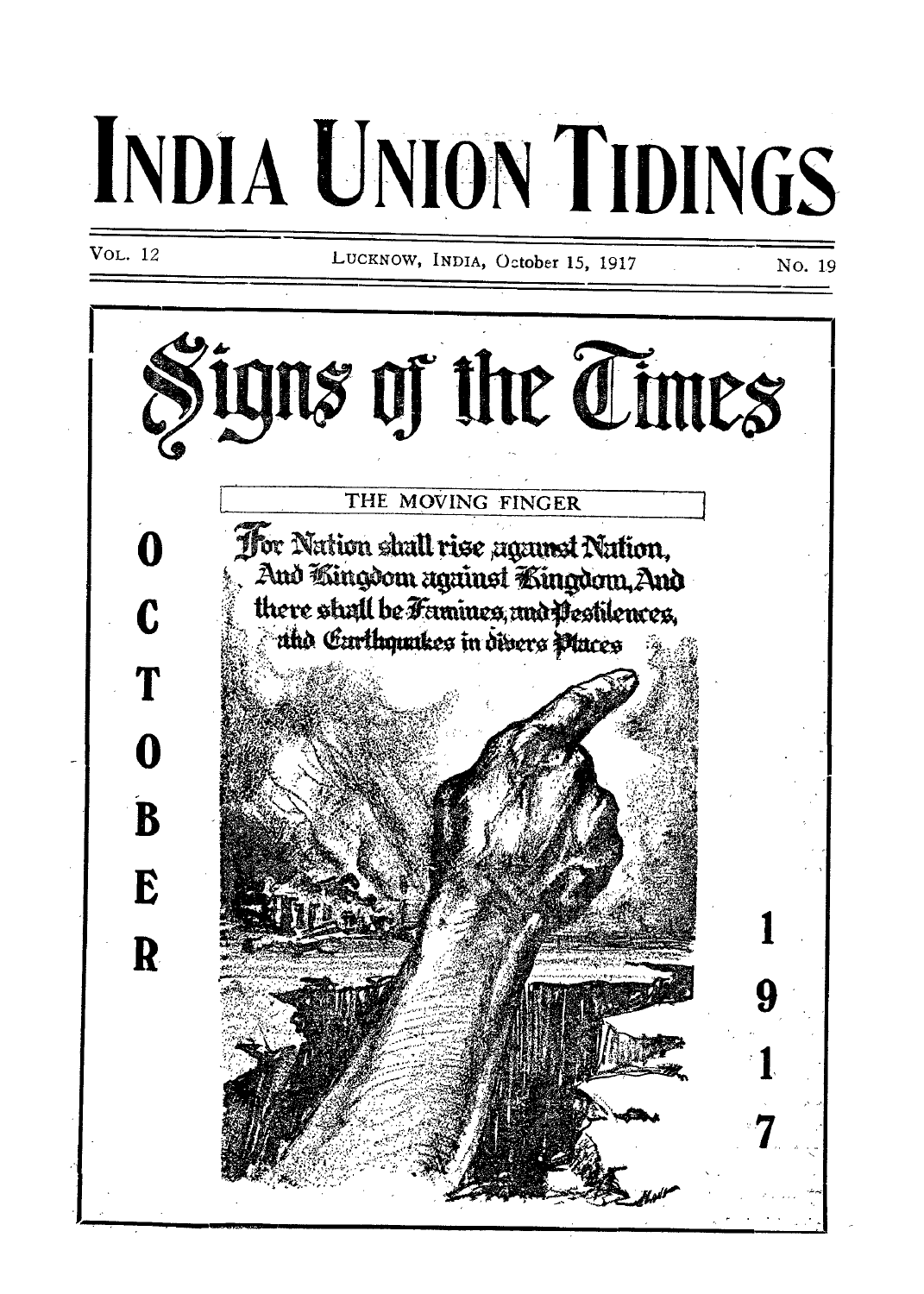# **INDIA UNION TIDINGS**

VOL. 12

LUCKNOW, INDIA, October 15, 1917

No. 19

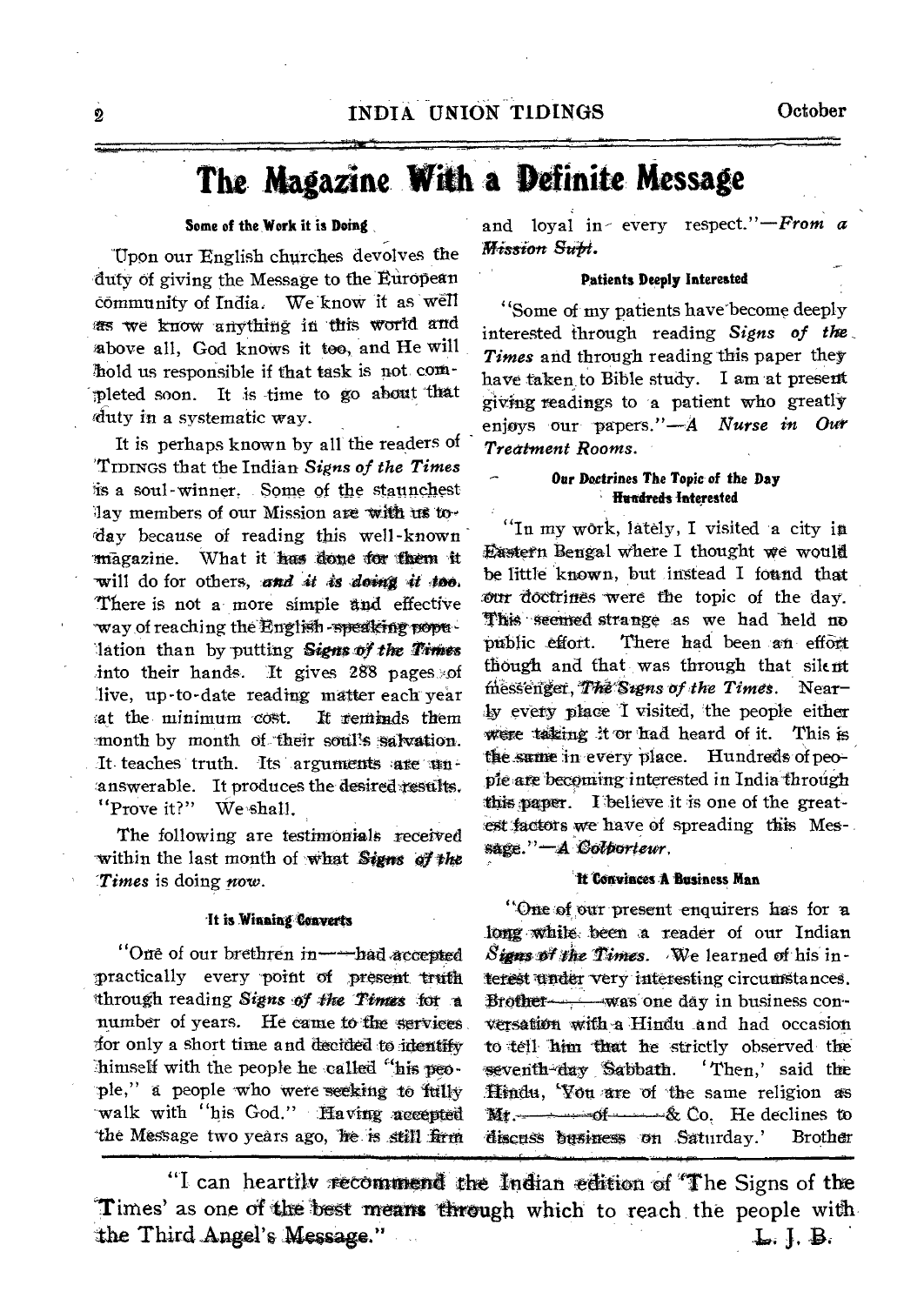# The Magazine **With a Definite Message**

# **Some of the Work it is Doing**

Upon our 'English churehes devolves the duty of giving the Message to the European community of India. We know it as well as we know anything in this world and above all, God knows it too, and He will hold us responsible if that task is not completed soon. It is time to go about that /duty in a systematic way.

It is perhaps known by all the readers of 'TIDINGS that the Indian *Signs of the Times*  is a soul-winner. Some of the staunchest lay members of our Mission are with us torday because of reading this well-known magazine. What it has done for them it will do for others, and it is doing it too. There is not a more simple and effective way of reaching the English -speaking population than by putting Signs of the Times into their hands. It gives 288 pages of live, up-to-date reading matter each year at the minimum cost. It reminds them -month by month of their soriPs salvation. It teaches truth. Its arguments are ananswerable. It produces the desired results. "Prove it?" We shall.

The following are testimonials received -within the last month of what Signs *cif the Times* is doing now.

### **It is Winning Converts**

"One of our brethren in---had accepted practically every point of present truth through reading Signs of the Times for a number of years. He came to the services -for only a short time and decided to identify himself with the people he called "his people," a people who were seeking to fully walk with "his God." Having accepted the Message two years ago, he is still firm and loyal in- every respect."—From *a Mission Stilri.* 

### **Patients Deeply Interested**

"Some of my patients have"become deeply interested through reading *Signs of the \_ Times* and through reading this paper they have taken to Bible study. I am at present giving readings to a patient who greatly enjoys our papers."--A *Nurse in Our Treatment Rooms.* 

# **Our** *Doctrines* **The Topic-of the Day Hundreds Interested**

"In my work, lately, I visited a city in **Eastern Bengal where I thought we would** be little known, but instead I found that our doctrines were the topic of the day. This seemed strange as we had held no public effort. There had been an effort though and that was through that silent messenger, The Sugns of the Times. Nearly every place I visited, the people either were taking it or had heard of it. This is the same in every place. Hundreds of people are becoming interested in India through this paper. I believe it is one of the greatest factors we have of spreading this Message." **A** Colborteur.

# It Convinces A Business Man

"One of our present enquirers has for **<sup>11</sup>** long while been a reader of our Indian Signs of the Times. We learned of his interest under very interesting circumStances. Brother was one day in business conversation with a Hindu and had occasion to tell him that he strictly observed the seventh-day Sabbath. 'Then,' said the Hindu, 'You are of the same religion as  $Mt$ .  $\longrightarrow$  of  $\longrightarrow$  & Co. He declines to discuss business on Saturday.' Brother

"I can heartily recommend the Indian edition of 'The Signs of the `Times' as one of the best means through which' to reach the people with the Third Angel's Message." J. B. (1, B.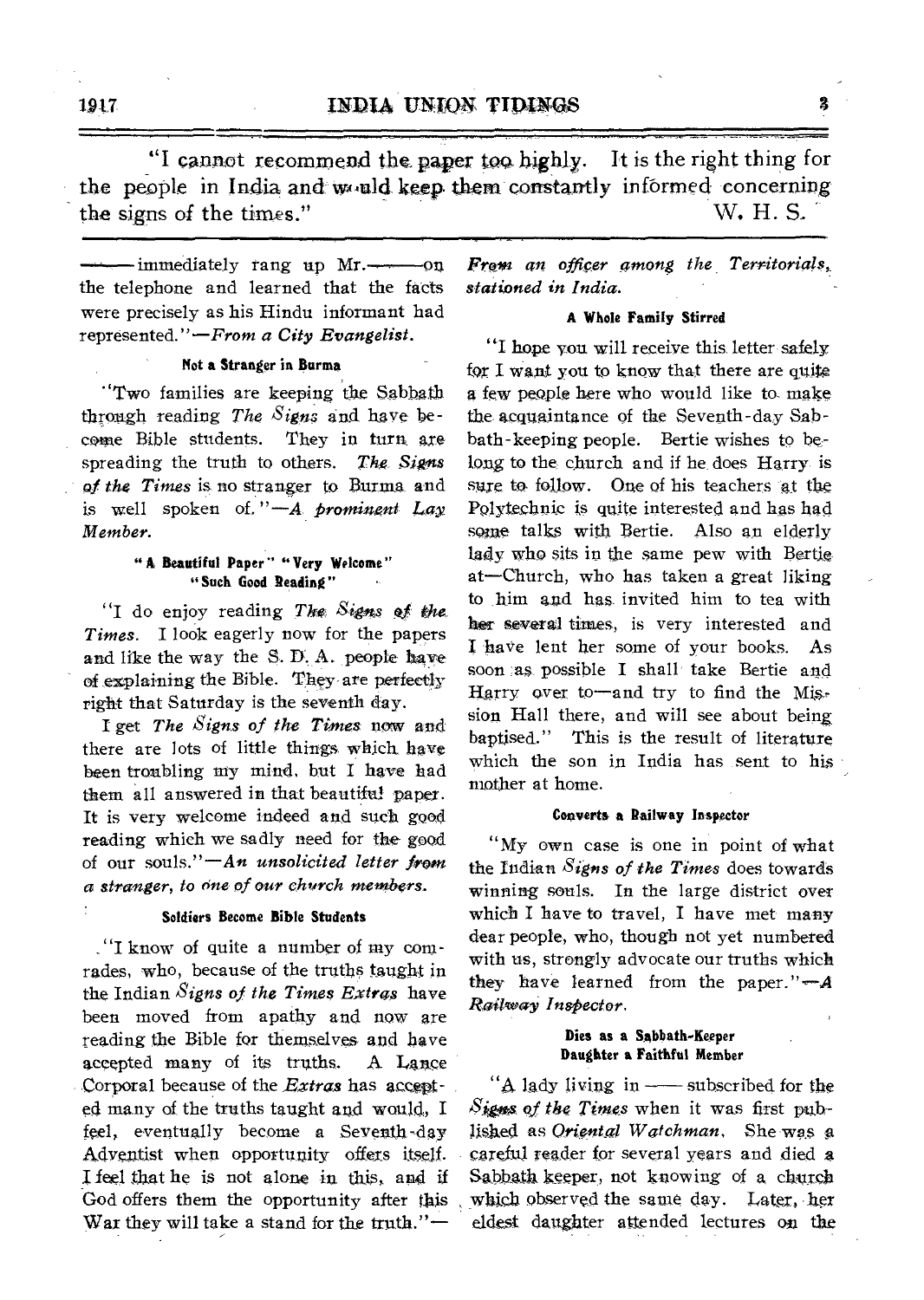"I cannot recommend the, paper too, highly. It is the right thing for the people in India and would keep them constantly informed concerning<br>the signs of the times."<br>W. H. S. the signs of the times."

-immediately rang up Mr. - on the telephone and learned that the facts were precisely as his Hindu informant had represented."—From *a City Evangelist.* 

### **Not a Stranger in Burma**

"Two families are keeping the Sabbath through reading *The Signs* end have become Bible students. They in turn are spreading the truth to others. *The. Signs of the Times* is no stranger to Burma and is well spoken of. "—A. *Prominent Lay Member.* 

# **"A Beautiful Paper" "Very Welcome" "Such Good Reading"**

"I do enjoy reading *The Signs of the. Times.* I look eagerly now for the papers and like the way the S. D. A. people have of explaining the Bible. They are perfectly right that Saturday is the seventh day.

I get *The Signs of the Times* now and there are lots of little things which, have been troubling my mind, but I have had them all answered in that beautiful paper. It is very welcome indeed and such **good**  reading which we sadly need for the good of our souls."—An *unsolicited letter from a stranger, to one of our church members\_* 

# **Soldiers Become Bible Students**

\_"I know of quite a number of my comrades, who, because of the truths taught in the Indian *Signs of the Times Extras* have been moved from apathy and now are reading the Bible for themselves and have accepted many of its truths. A Lance Corporal because of the *Extras* has accepted many of the truths taught and would, I feel, eventually become a Seventh-day Adventist when opportunity offers itself. I feel that he is not alone in this, *and* if God offers them the opportunity after this Wax they will take a stand for the truth."—

*Front an officer among the Territorials, stationed in India.* 

## **A Whole Family Stirred**

"I hope you will receive this. letter-safely for I Want you to know that there are quite a few people here who would like to- make the acquaintance of the Seventh-day Sabbath-keeping people. Bertie wishes to belong to the church and if he does Harry is sure to follow. One of his teachers at the Polytechnic is quite interested and has had some talks with Bertie. Also an elderly lady who sits in the same pew with Bertieat—Church, who has taken a great liking to him and has invited him to tea with her several times, is very interested and I have lent her some of your books. As soon ;as. possible I shall take Bertie and Harry over to—and try to find the Mis, sion Hall there, and will see about being baptised." This is the result of literature which the son in India has sent to his mother at home.

### **Converts a Railway Inspector**

"My own case is one in point of what the Indian *Signs of the Times* does towards winning souls. In the large district over which I have to travel, I have met many dear people, who, though not yet numbered with us, strongly advocate our truths which they have learned from the paper."-A *Railway Inspector.* 

### **Dies as a Sabbath-Keeper Daughter a Faithful Member**

"A lady living in — subscribed for the  $S_{\text{kguss of the Times when it was first pub-}$ lished as *Oriental Watchman,* She-was a careful reader for several years and died a Sabbath keeper, not knowing of a church which observed the same day. Later, her eldest daughter attended lectures on the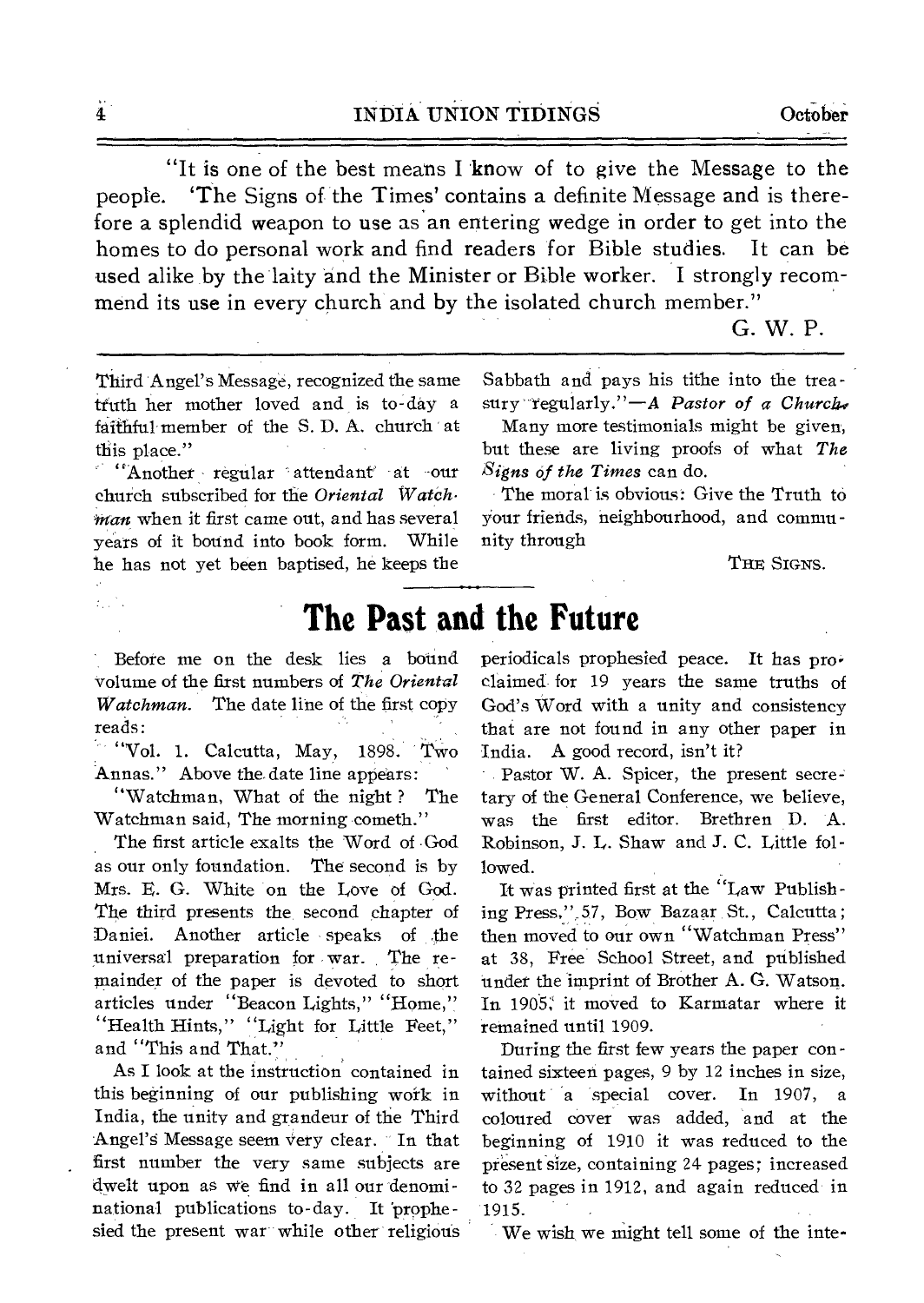"It is one of the best means I know of to give the Message to the people. The Signs of the Times' contains a definite Message and is therefore a splendid weapon to use as an entering wedge in order to get into the homes to do personal work and find readers for Bible studies. It can be used alike by the laity and the Minister or Bible worker. I strongly recommend its use in every church and by the isolated church member."

G. W. P.

Third Angel's Message, recognized the same truth her mother loved and is to-day a faithful member of the S. D. A. church at this place."

"Another regular attendant' at -our church subscribed for the *Oriental Watch. Man* when it first came out, and has several years of it bound into book form. While he has not yet been baptised, he keeps the

Sabbath and pays his tithe into the treasury regularly."—A Pastor of a Church.

Many more testimonials might be given, but these are living proofs of what *The Signs of the Times* can do.

The moral is obvious: Give the Truth to your friends, neighbourhood, and community through

THE SIGNS.

# **The Past and the Future**

Before me on the desk lies a botind volume of the first numbers of *The Oriental Watchman.* The date line of the first copy reads:

"Vol. 1. Calcutta, May, 1898. Two Annas." Above the date line appears:

"Watchman, What of the night ? The Watchman said, The morning cometh."

The first article exalts the Word of .God as our only foundation. The second is by Mrs. E. G. White on the Love of God. The third presents the second chapter of Daniei. Another article speaks of the universal preparation for war. The remainder of the paper is devoted to short articles under "Beacon Lights," "Home," "Health Hints," "Light for Little Feet," and "This and That."

As I look at the instruction contained in this beginning of our publishing work in India, the unity and grandeur of the Third Angel's Message seem very clear. In that first number the very same subjects are dwelt upon as we find in all our denominational publications to-day. It 'prophesied the present war while other religious periodicals prophesied peace. It has proclaimed for 19 years the same truths of God's Word with a unity and consistency that are not found in any other paper in India. A good record, isn't it?

Pastor W. A. Spicer, the present secretary of the General Conference, we believe, was the first editor. Brethren D. A. Robinson, J. L. Shaw and J. C. Little followed.

It was printed first at the "Law Publishing Press,'',57, Bow Bazaar St., Calcutta ; then moved to our own "Watchman Press" at 38, Free School Street, and published under the imprint of Brother A. G. Watson. In 1905, it moved to Karmatar where it remained until 1909.

During the first few years the paper contained sixteen pages, 9 by 12 inches in size, without a special cover. In 1907, a coloured cover was added, and at the beginning of 1910 it was reduced to the present size, containing 24 pages; increased to 32 pages in 1912, and again reduced in 1915.

We wish we might tell some of the inte-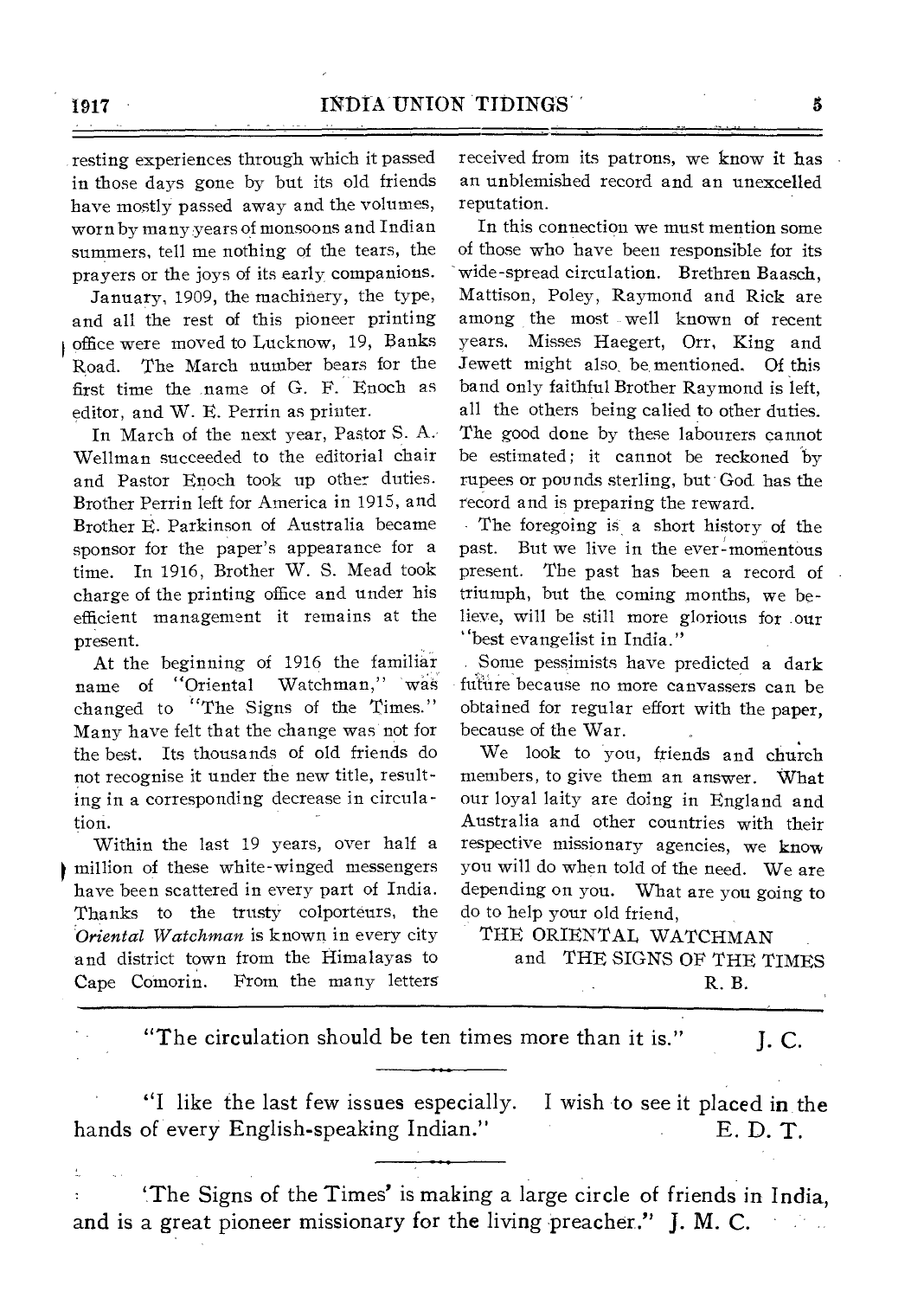resting experiences through which it passed in those days gone by but its old friends have mostly passed away and the volumes, worn by many years of monsoons and Indian summers, tell me nothing of the tears, the prayers or the joys of its early, companions.

January, 1909, the machinery, the type, and all the rest of this pioneer printing office were moved to Lucknow, 19, Banks Road. The March number bears for the

first time the name of G. F. Enoch as editor, and W. E. Perrin as printer.

In March of the next year, Pastor S. A. Wellman succeeded to the editorial chair and Pastor Enoch took up other duties. Brother Perrin left for America in 1915, and Brother E. Parkinson of Australia became sponsor for the paper's appearance for a time. In 1916, Brother W. S. Mead took charge of the printing office and under his efficient management it remains at the present.

At the beginning of 1916 the familiar name of "Oriental Watchman," was changed to "The Signs of the Times." Many have felt that the change was not for the best. Its thousands of old friends do not recognise it under the new title, resulting in a corresponding decrease in circula tion.

Within the last 19 years, over half a million of these white-winged messengers have been scattered in every part of India. Thanks to the trusty colporteurs, the *Oriental Watchman* is known in every city and district town from the Himalayas to Cape Comorin. From the many lettersreceived from its patrons, we know it has an unblemished record and an unexcelled reputation.

In this connection we must mention some of those who have been responsible for its - wide-spread circulation. Brethren Baasch, Mattison, Poley, Raymond and Rick are among the most well known of recent years. Misses Haegert, Orr, King and Jewett might also, be, mentioned. Of this band only faithful Brother Raymond is left, all the others being calied to other duties. The good done by these labourers cannot be estimated; it cannot be reckoned by rupees or pounds sterling, but God has the record and is preparing the reward.

The foregoing is a short history of the past. But we live in the ever-momentous present. The past has been a record of triumph, but the coming months, we believe, will be still more glorious for .our "best evangelist in India."

Some pessimists have predicted a dark future because no more canvassers can be obtained for regular effort with the paper, because of the War.

We look to you, friends and church members, to give them an answer. 'What our loyal laity are doing in England and Australia and other countries with their respective missionary agencies, we know you will do when told of the need. We are depending on you. What are you going to do to help your old friend,

THE ORIENTAL WATCHMAN and THE SIGNS OF THE TIMES R. B.

"The circulation should be ten times more than it is." J. C.

"I like the last few issues especially. I wish to see it placed in the hands of every English-speaking Indian." E. D. T.

`The Signs of the Times' is making a large circle of friends in India, and is a great pioneer missionary for the living preacher." J. M. C.  $\mathcal{F}=\mathcal{F}(\mathcal{F})$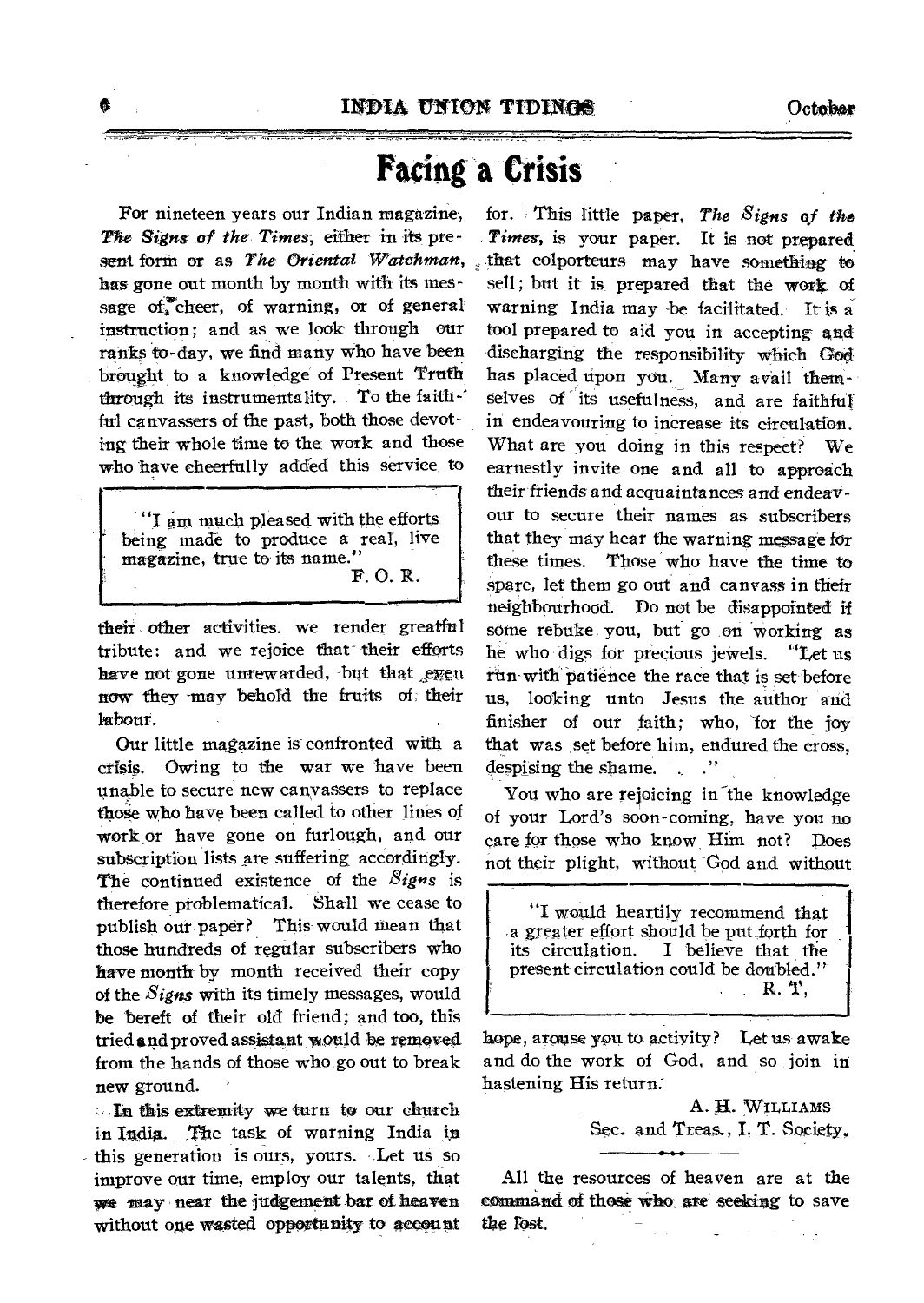October

# **Facing a Crisis**

For nineteen years our Indian magazine, The Signs of the Times, either in its prehas gone out month by month with its message of cheer, of warning, or of general instruction; and as we look through our ranks to-day, we find many who have been brought to a knowledge of Present Truth through its instrumentality. To the faithful canvassers of the past, both those devoting their whole time to the work and those who have cheerfully added this service to

"I am much pleased with the efforts being made to produce a real, live magazine, true to its name.' F.O.R.

their other activities. we render greatful tribute: and we rejoice that their efforts have not gone unrewarded, but that exen now they may behold the fruits of their labour.

Our little magazine is confronted with a crisis. Owing to the war we have been unable to secure new canvassers to replace those who have been called to other lines of work or have gone on furlough, and our subscription lists are suffering accordingly. The continued existence of the Signs is therefore problematical. Shall we cease to publish our paper? This would mean that those hundreds of regular subscribers who have month by month received their copy of the Signs with its timely messages, would be bereft of their old friend; and too, this tried and proved assistant would be removed from the hands of those who go out to break new ground.

In this extremity we turn to our church in India. The task of warning India in this generation is ours, yours. Let us so improve our time, employ our talents, that we may near the judgement bar of heaven without one wasted opportunity to account

for. This little paper, The Signs of the Times, is your paper. It is not prepared sent form or as The Oriental Watchman, that colporteurs may have something to sell; but it is prepared that the work of warning India may be facilitated. It is a tool prepared to aid you in accepting and discharging the responsibility which God has placed upon you. Many avail themselves of its usefulness, and are faithful in endeavouring to increase its circulation. What are you doing in this respect? We earnestly invite one and all to approach their friends and acquaintances and endeavour to secure their names as subscribers that they may hear the warning message for these times. Those who have the time to spare, let them go out and canvass in their neighbourhood. Do not be disappointed if some rebuke you, but go on working as he who digs for precious jewels. "Let us run with patience the race that is set before us, looking unto Jesus the author and finisher of our faith; who, for the joy that was set before him, endured the cross, despising the shame. . . . "

> You who are rejoicing in the knowledge of your Lord's soon-coming, have you no care for those who know Him not? Does not their plight, without God and without

"I would heartily recommend that a greater effort should be put forth for its circulation. I believe that the present circulation could be doubled." R. T.

hope, arouse you to activity? Let us awake and do the work of God, and so join in hastening His return.

> A. H. WILLIAMS Sec. and Treas., I. T. Society.

All the resources of heaven are at the command of those who are seeking to save the fost.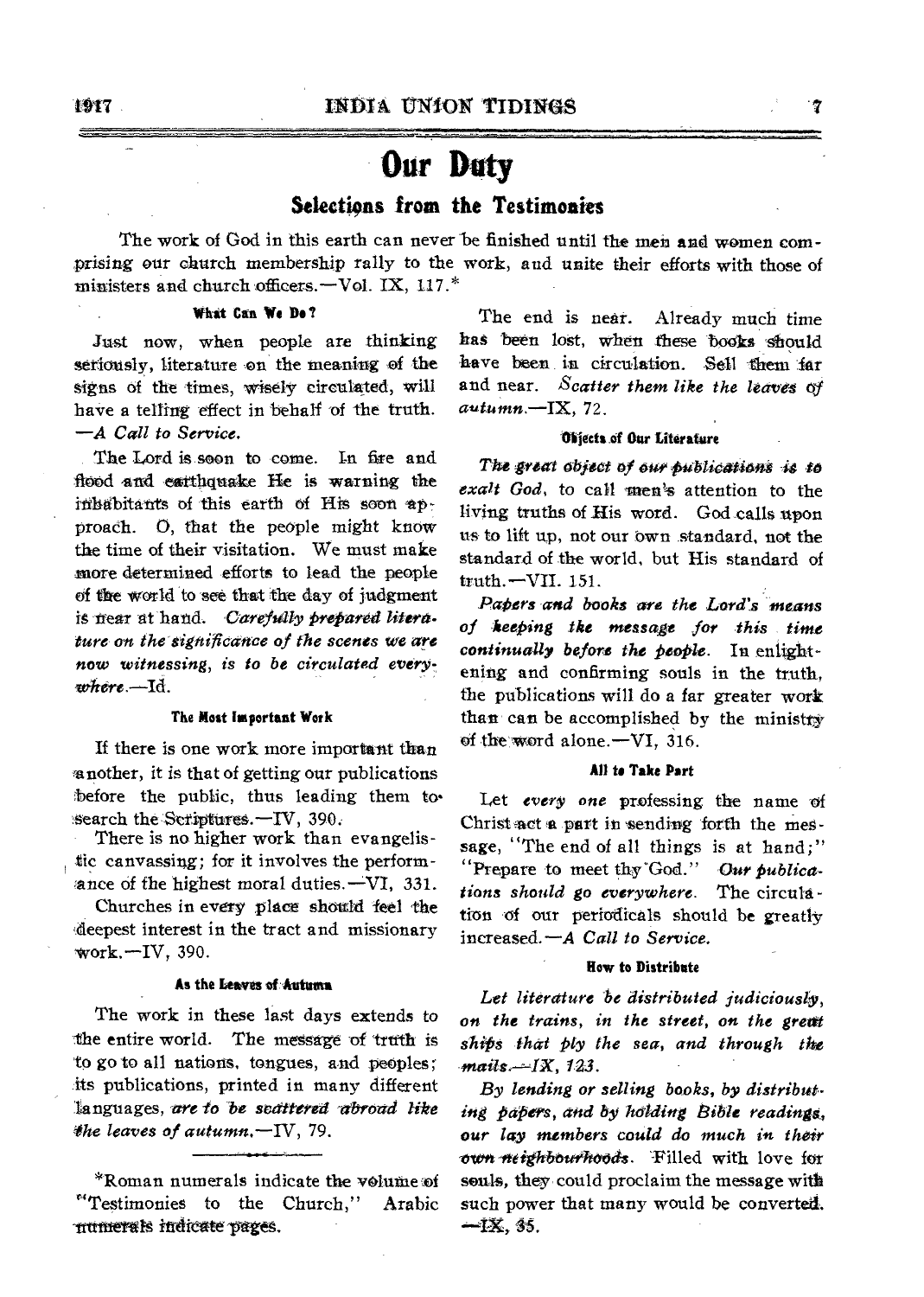# **Our Duty**

# Selections from the Testimonies

The work of God in this earth can never be finished until the men and women comprising our church membership rally to the work, and unite their efforts with those of ministers and church officers. - Vol. IX, 117.\*

### What Can We De?

Just now, when people are thinking seriously, literature on the meaning of the signs of the times, wisely circulated, will have a telling effect in behalf of the truth. -A Call to Service.

The Lord is soon to come. In fire and flood and earthquake He is warning the inhabitants of this earth of His soon approach. O, that the people might know the time of their visitation. We must make more determined efforts to lead the people of the world to see that the day of judgment is near at hand. Carefully prepared litera. ture on the significance of the scenes we are now witnessing, is to be circulated every $where -Id.$ 

#### The Most Important Work

If there is one work more important than another, it is that of getting our publications before the public, thus leading them tosearch the Seriptures. - IV, 390.

There is no higher work than evangelistic canvassing; for it involves the performance of the highest moral duties. - VI, 331.

Churches in every place should feel the deepest interest in the tract and missionary work.-IV, 390.

#### As the Leaves of Autumn

The work in these last days extends to the entire world. The message of truth is to go to all nations, tongues, and peoples; its publications, printed in many different languages, are to be scattered abroad like the leaves of autumn.  $-\text{IV}$ , 79.

\*Roman numerals indicate the volume of "Testimonies to the Church," Arabic numerals indicate pages.

The end is near. Already much time has been lost, when these books should have been in circulation. Sell them far and near. Scatter them like the leaves of  $autumn$ -IX, 72.

### Objects of Our Literature

The great object of our publications is to exalt God, to call men's attention to the living truths of His word. God calls upon us to lift up, not our own standard, not the standard of the world, but His standard of  $truth$   $-VII$ , 151.

Papers and books are the Lord's means of keeping the message for this time continually before the people. In enlightening and confirming souls in the truth. the publications will do a far greater work than can be accomplished by the ministry of the word alone.-VI, 316.

### All to Take Part

Let every one professing the name of Christ act a part in sending forth the message, "The end of all things is at hand:" "Prepare to meet thy God." Our publications should go everywhere. The circulation of our periodicals should be greatly increased. - A Call to Service.

#### How to Distribute

Let literature be distributed judiciously, on the trains, in the street, on the great ships that ply the sea, and through the mails  $-X$ , 123.

By lending or selling books, by distributing papers, and by holding Bible readings, our lay members could do much in their own neighbourhoods. Filled with love for souls, they could proclaim the message with such power that many would be converted. —IX, 35.

7